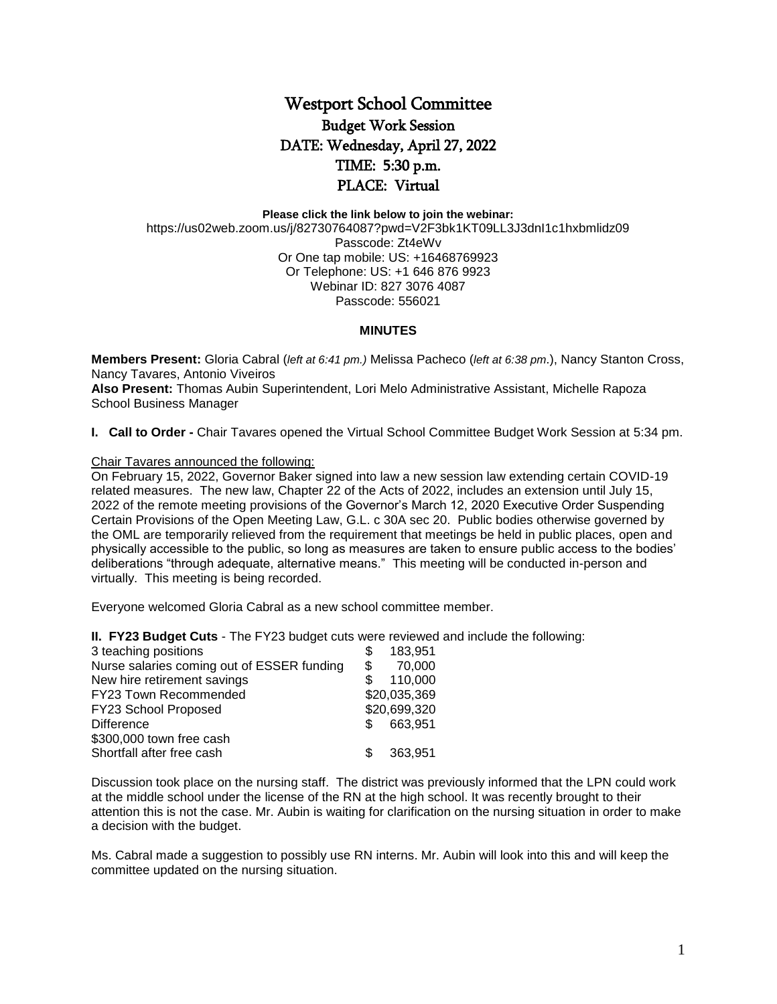## Westport School Committee Budget Work Session DATE: Wednesday, April 27, 2022 TIME: 5:30 p.m. PLACE: Virtual

**Please click the link below to join the webinar:**

https://us02web.zoom.us/j/82730764087?pwd=V2F3bk1KT09LL3J3dnI1c1hxbmlidz09 Passcode: Zt4eWv Or One tap mobile: US: +16468769923 Or Telephone: US: +1 646 876 9923 Webinar ID: 827 3076 4087 Passcode: 556021

## **MINUTES**

**Members Present:** Gloria Cabral (*left at 6:41 pm.)* Melissa Pacheco (*left at 6:38 pm*.), Nancy Stanton Cross, Nancy Tavares, Antonio Viveiros

**Also Present:** Thomas Aubin Superintendent, Lori Melo Administrative Assistant, Michelle Rapoza School Business Manager

**I. Call to Order -** Chair Tavares opened the Virtual School Committee Budget Work Session at 5:34 pm.

## Chair Tavares announced the following:

On February 15, 2022, Governor Baker signed into law a new session law extending certain COVID-19 related measures. The new law, Chapter 22 of the Acts of 2022, includes an extension until July 15, 2022 of the remote meeting provisions of the Governor's March 12, 2020 Executive Order Suspending Certain Provisions of the Open Meeting Law, G.L. c 30A sec 20. Public bodies otherwise governed by the OML are temporarily relieved from the requirement that meetings be held in public places, open and physically accessible to the public, so long as measures are taken to ensure public access to the bodies' deliberations "through adequate, alternative means." This meeting will be conducted in-person and virtually. This meeting is being recorded.

Everyone welcomed Gloria Cabral as a new school committee member.

**II. FY23 Budget Cuts** - The FY23 budget cuts were reviewed and include the following:

| 3 teaching positions                       | \$<br>183,951 |
|--------------------------------------------|---------------|
| Nurse salaries coming out of ESSER funding | \$<br>70,000  |
| New hire retirement savings                | 110,000       |
| <b>FY23 Town Recommended</b>               | \$20,035,369  |
| FY23 School Proposed                       | \$20,699,320  |
| <b>Difference</b>                          | 663,951       |
| \$300,000 town free cash                   |               |
| Shortfall after free cash                  | 363,951       |

Discussion took place on the nursing staff. The district was previously informed that the LPN could work at the middle school under the license of the RN at the high school. It was recently brought to their attention this is not the case. Mr. Aubin is waiting for clarification on the nursing situation in order to make a decision with the budget.

Ms. Cabral made a suggestion to possibly use RN interns. Mr. Aubin will look into this and will keep the committee updated on the nursing situation.